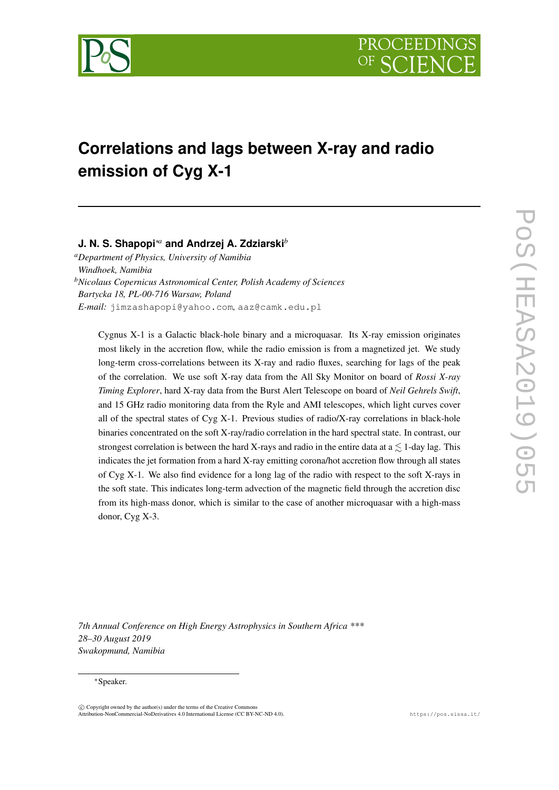

# **Correlations and lags between X-ray and radio emission of Cyg X-1**

## **J. N. S. Shapopi**∗*<sup>a</sup>* **and Andrzej A. Zdziarski***<sup>b</sup>*

*<sup>a</sup>Department of Physics, University of Namibia Windhoek, Namibia <sup>b</sup>Nicolaus Copernicus Astronomical Center, Polish Academy of Sciences Bartycka 18, PL-00-716 Warsaw, Poland E-mail:* [jimzashapopi@yahoo.com](mailto:jimzashapopi@yahoo.com)*,* [aaz@camk.edu.pl](mailto:aaz@camk.edu.pl)

Cygnus X-1 is a Galactic black-hole binary and a microquasar. Its X-ray emission originates most likely in the accretion flow, while the radio emission is from a magnetized jet. We study long-term cross-correlations between its X-ray and radio fluxes, searching for lags of the peak of the correlation. We use soft X-ray data from the All Sky Monitor on board of *Rossi X-ray Timing Explorer*, hard X-ray data from the Burst Alert Telescope on board of *Neil Gehrels Swift*, and 15 GHz radio monitoring data from the Ryle and AMI telescopes, which light curves cover all of the spectral states of Cyg X-1. Previous studies of radio/X-ray correlations in black-hole binaries concentrated on the soft X-ray/radio correlation in the hard spectral state. In contrast, our strongest correlation is between the hard X-rays and radio in the entire data at  $a \leq 1$ -day lag. This indicates the jet formation from a hard X-ray emitting corona/hot accretion flow through all states of Cyg X-1. We also find evidence for a long lag of the radio with respect to the soft X-rays in the soft state. This indicates long-term advection of the magnetic field through the accretion disc from its high-mass donor, which is similar to the case of another microquasar with a high-mass donor, Cyg X-3.

*7th Annual Conference on High Energy Astrophysics in Southern Africa \*\*\* 28–30 August 2019 Swakopmund, Namibia*

#### <sup>∗</sup>Speaker.

 $\overline{c}$  Copyright owned by the author(s) under the terms of the Creative Common Attribution-NonCommercial-NoDerivatives 4.0 International License (CC BY-NC-ND 4.0). https://pos.sissa.it/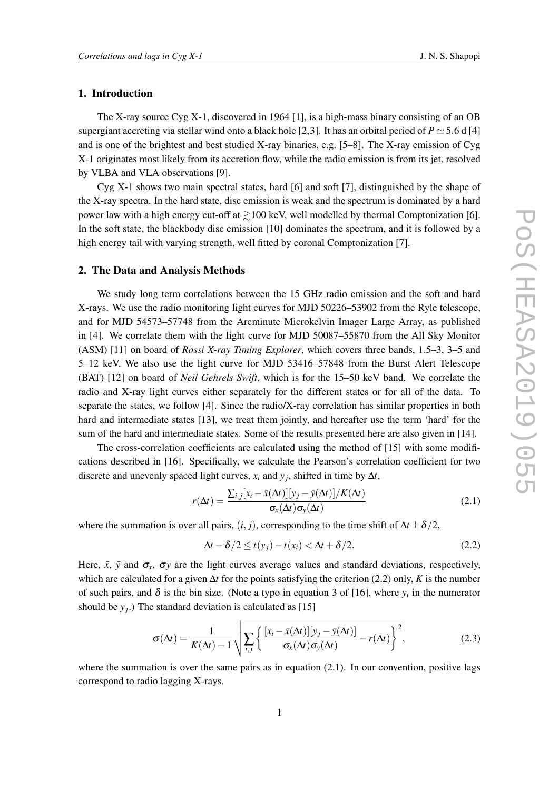### 1. Introduction

The X-ray source Cyg X-1, discovered in 1964 [\[1\]](#page-4-0), is a high-mass binary consisting of an OB supergiant accreting via stellar wind onto a black hole [\[2,](#page-4-1)[3\]](#page-4-2). It has an orbital period of  $P \simeq 5.6$  d [\[4\]](#page-4-3) and is one of the brightest and best studied X-ray binaries, e.g. [\[5](#page-4-4)[–8\]](#page-5-0). The X-ray emission of Cyg X-1 originates most likely from its accretion flow, while the radio emission is from its jet, resolved by VLBA and VLA observations [\[9\]](#page-5-1).

Cyg X-1 shows two main spectral states, hard [\[6\]](#page-4-5) and soft [\[7\]](#page-5-2), distinguished by the shape of the X-ray spectra. In the hard state, disc emission is weak and the spectrum is dominated by a hard power law with a high energy cut-off at  $\geq$ 100 keV, well modelled by thermal Comptonization [\[6\]](#page-4-5). In the soft state, the blackbody disc emission [\[10\]](#page-5-3) dominates the spectrum, and it is followed by a high energy tail with varying strength, well fitted by coronal Comptonization [\[7\]](#page-5-2).

#### 2. The Data and Analysis Methods

We study long term correlations between the 15 GHz radio emission and the soft and hard X-rays. We use the radio monitoring light curves for MJD 50226–53902 from the Ryle telescope, and for MJD 54573–57748 from the Arcminute Microkelvin Imager Large Array, as published in [\[4\]](#page-4-3). We correlate them with the light curve for MJD 50087–55870 from the All Sky Monitor (ASM) [\[11\]](#page-5-4) on board of *Rossi X-ray Timing Explorer*, which covers three bands, 1.5–3, 3–5 and 5–12 keV. We also use the light curve for MJD 53416–57848 from the Burst Alert Telescope (BAT) [\[12\]](#page-5-5) on board of *Neil Gehrels Swift*, which is for the 15–50 keV band. We correlate the radio and X-ray light curves either separately for the different states or for all of the data. To separate the states, we follow [\[4\]](#page-4-3). Since the radio/X-ray correlation has similar properties in both hard and intermediate states [\[13\]](#page-5-6), we treat them jointly, and hereafter use the term 'hard' for the sum of the hard and intermediate states. Some of the results presented here are also given in [\[14\]](#page-5-7).

The cross-correlation coefficients are calculated using the method of [\[15\]](#page-5-8) with some modifications described in [\[16\]](#page-5-9). Specifically, we calculate the Pearson's correlation coefficient for two discrete and unevenly spaced light curves,  $x_i$  and  $y_j$ , shifted in time by  $\Delta t$ ,

<span id="page-1-1"></span>
$$
r(\Delta t) = \frac{\sum_{i,j} [x_i - \bar{x}(\Delta t)] [y_j - \bar{y}(\Delta t)] / K(\Delta t)}{\sigma_x(\Delta t) \sigma_y(\Delta t)}
$$
(2.1)

where the summation is over all pairs,  $(i, j)$ , corresponding to the time shift of  $\Delta t \pm \delta/2$ ,

<span id="page-1-0"></span>
$$
\Delta t - \delta/2 \le t(y_j) - t(x_i) < \Delta t + \delta/2. \tag{2.2}
$$

Here,  $\bar{x}$ ,  $\bar{y}$  and  $\sigma_x$ ,  $\sigma_y$  are the light curves average values and standard deviations, respectively, which are calculated for a given ∆*t* for the points satisfying the criterion [\(2.2\)](#page-1-0) only, *K* is the number of such pairs, and  $\delta$  is the bin size. (Note a typo in equation 3 of [\[16\]](#page-5-9), where  $y_i$  in the numerator should be *y<sup>j</sup>* .) The standard deviation is calculated as [\[15\]](#page-5-8)

$$
\sigma(\Delta t) = \frac{1}{K(\Delta t) - 1} \sqrt{\sum_{i,j} \left\{ \frac{[x_i - \bar{x}(\Delta t)][y_j - \bar{y}(\Delta t)]}{\sigma_x(\Delta t) \sigma_y(\Delta t)} - r(\Delta t) \right\}^2},
$$
(2.3)

where the summation is over the same pairs as in equation  $(2.1)$ . In our convention, positive lags correspond to radio lagging X-rays.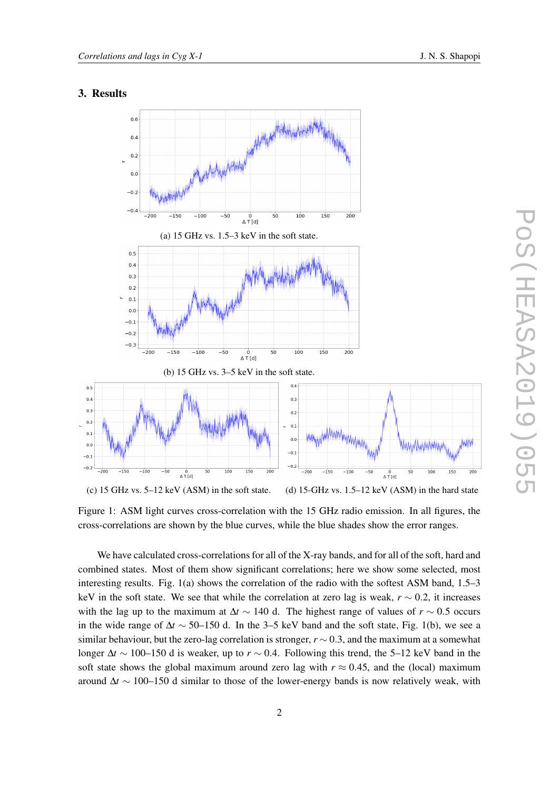## <span id="page-2-0"></span>3. Results



Figure 1: ASM light curves cross-correlation with the 15 GHz radio emission. In all figures, the cross-correlations are shown by the blue curves, while the blue shades show the error ranges.

We have calculated cross-correlations for all of the X-ray bands, and for all of the soft, hard and combined states. Most of them show significant correlations; here we show some selected, most interesting results. Fig. [1\(](#page-2-0)a) shows the correlation of the radio with the softest ASM band, 1.5–3 keV in the soft state. We see that while the correlation at zero lag is weak, *r* ∼ 0.2, it increases with the lag up to the maximum at ∆*t* ∼ 140 d. The highest range of values of *r* ∼ 0.5 occurs in the wide range of  $\Delta t \sim 50$ –150 d. In the 3–5 keV band and the soft state, Fig. [1\(](#page-2-0)b), we see a similar behaviour, but the zero-lag correlation is stronger,  $r \sim 0.3$ , and the maximum at a somewhat longer ∆*t* ∼ 100–150 d is weaker, up to *r* ∼ 0.4. Following this trend, the 5–12 keV band in the soft state shows the global maximum around zero lag with  $r \approx 0.45$ , and the (local) maximum around ∆*t* ∼ 100–150 d similar to those of the lower-energy bands is now relatively weak, with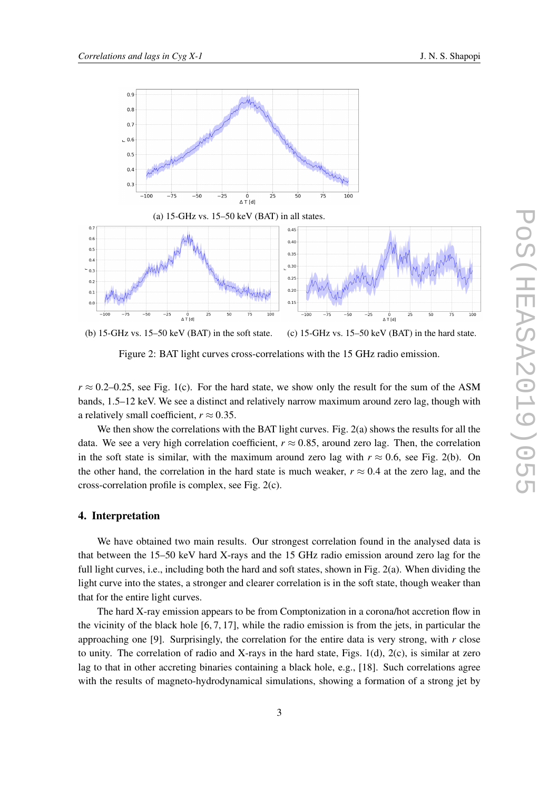<span id="page-3-0"></span>

Figure 2: BAT light curves cross-correlations with the 15 GHz radio emission.

 $r \approx 0.2{\text -}0.25$ , see Fig. [1\(](#page-2-0)c). For the hard state, we show only the result for the sum of the ASM bands, 1.5–12 keV. We see a distinct and relatively narrow maximum around zero lag, though with a relatively small coefficient,  $r \approx 0.35$ .

We then show the correlations with the BAT light curves. Fig. [2\(](#page-3-0)a) shows the results for all the data. We see a very high correlation coefficient,  $r \approx 0.85$ , around zero lag. Then, the correlation in the soft state is similar, with the maximum around zero lag with  $r \approx 0.6$ , see Fig. [2\(](#page-3-0)b). On the other hand, the correlation in the hard state is much weaker,  $r \approx 0.4$  at the zero lag, and the cross-correlation profile is complex, see Fig. [2\(](#page-3-0)c).

#### 4. Interpretation

We have obtained two main results. Our strongest correlation found in the analysed data is that between the 15–50 keV hard X-rays and the 15 GHz radio emission around zero lag for the full light curves, i.e., including both the hard and soft states, shown in Fig. [2\(](#page-3-0)a). When dividing the light curve into the states, a stronger and clearer correlation is in the soft state, though weaker than that for the entire light curves.

The hard X-ray emission appears to be from Comptonization in a corona/hot accretion flow in the vicinity of the black hole  $[6, 7, 17]$  $[6, 7, 17]$  $[6, 7, 17]$ , while the radio emission is from the jets, in particular the approaching one [\[9\]](#page-5-1). Surprisingly, the correlation for the entire data is very strong, with *r* close to unity. The correlation of radio and X-rays in the hard state, Figs.  $1(d)$ ,  $2(c)$ , is similar at zero lag to that in other accreting binaries containing a black hole, e.g., [\[18\]](#page-5-11). Such correlations agree with the results of magneto-hydrodynamical simulations, showing a formation of a strong jet by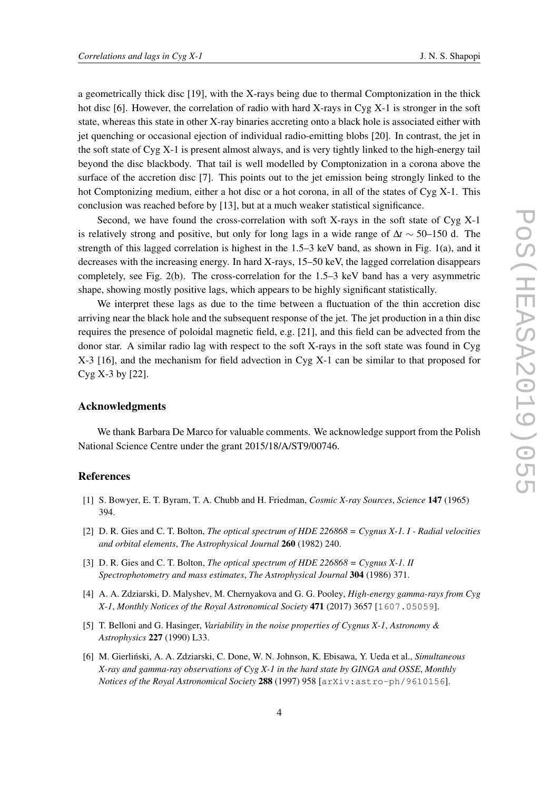a geometrically thick disc [\[19\]](#page-5-12), with the X-rays being due to thermal Comptonization in the thick hot disc [\[6\]](#page-4-5). However, the correlation of radio with hard X-rays in Cyg X-1 is stronger in the soft state, whereas this state in other X-ray binaries accreting onto a black hole is associated either with jet quenching or occasional ejection of individual radio-emitting blobs [\[20\]](#page-5-13). In contrast, the jet in the soft state of Cyg X-1 is present almost always, and is very tightly linked to the high-energy tail beyond the disc blackbody. That tail is well modelled by Comptonization in a corona above the surface of the accretion disc [\[7\]](#page-5-2). This points out to the jet emission being strongly linked to the hot Comptonizing medium, either a hot disc or a hot corona, in all of the states of Cyg X-1. This conclusion was reached before by [\[13\]](#page-5-6), but at a much weaker statistical significance.

Second, we have found the cross-correlation with soft X-rays in the soft state of Cyg X-1 is relatively strong and positive, but only for long lags in a wide range of ∆*t* ∼ 50–150 d. The strength of this lagged correlation is highest in the 1.5–3 keV band, as shown in Fig. [1\(](#page-2-0)a), and it decreases with the increasing energy. In hard X-rays, 15–50 keV, the lagged correlation disappears completely, see Fig. [2\(](#page-3-0)b). The cross-correlation for the 1.5–3 keV band has a very asymmetric shape, showing mostly positive lags, which appears to be highly significant statistically.

We interpret these lags as due to the time between a fluctuation of the thin accretion disc arriving near the black hole and the subsequent response of the jet. The jet production in a thin disc requires the presence of poloidal magnetic field, e.g. [\[21\]](#page-5-14), and this field can be advected from the donor star. A similar radio lag with respect to the soft X-rays in the soft state was found in Cyg X-3 [\[16\]](#page-5-9), and the mechanism for field advection in Cyg X-1 can be similar to that proposed for Cyg X-3 by [\[22\]](#page-5-15).

## Acknowledgments

We thank Barbara De Marco for valuable comments. We acknowledge support from the Polish National Science Centre under the grant 2015/18/A/ST9/00746.

## References

- <span id="page-4-0"></span>[1] S. Bowyer, E. T. Byram, T. A. Chubb and H. Friedman, *Cosmic X-ray Sources*, *[Science](https://doi.org/10.1126/science.147.3656.394)* 147 (1965) [394.](https://doi.org/10.1126/science.147.3656.394)
- <span id="page-4-1"></span>[2] D. R. Gies and C. T. Bolton, *The optical spectrum of HDE 226868 = Cygnus X-1. I - Radial velocities and orbital elements*, *[The Astrophysical Journal](https://doi.org/10.1086/160250)* 260 (1982) 240.
- <span id="page-4-2"></span>[3] D. R. Gies and C. T. Bolton, *The optical spectrum of HDE 226868 = Cygnus X-1. II Spectrophotometry and mass estimates*, *[The Astrophysical Journal](https://doi.org/10.1086/164171)* 304 (1986) 371.
- <span id="page-4-3"></span>[4] A. A. Zdziarski, D. Malyshev, M. Chernyakova and G. G. Pooley, *High-energy gamma-rays from Cyg X-1*, *[Monthly Notices of the Royal Astronomical Society](https://doi.org/10.1093/mnras/stx1846)* 471 (2017) 3657 [[1607.05059](https://arxiv.org/abs/1607.05059)].
- <span id="page-4-4"></span>[5] T. Belloni and G. Hasinger, *Variability in the noise properties of Cygnus X-1*, *Astronomy & Astrophysics* 227 (1990) L33.
- <span id="page-4-5"></span>[6] M. Gierlinski, A. A. Zdziarski, C. Done, W. N. Johnson, K. Ebisawa, Y. Ueda et al., ´ *Simultaneous X-ray and gamma-ray observations of Cyg X-1 in the hard state by GINGA and OSSE*, *Monthly Notices of the Royal Astronomical Society* 288 (1997) 958 [[arXiv:astro-ph/9610156](https://arxiv.org/abs/arXiv:astro-ph/9610156)].